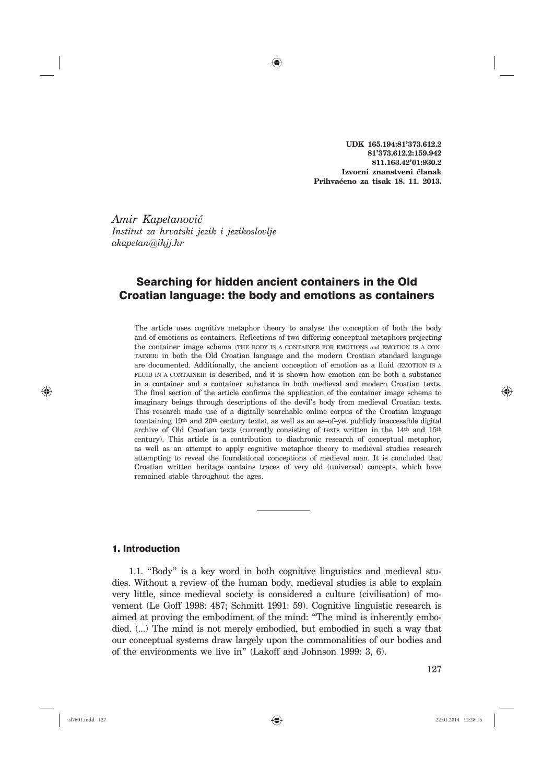**UDK 165.194:81'373.612.2 81'373.612.2:159.942 811.163.42'01:930.2 Izvorni znanstveni ~lanak Prihva}eno za tisak 18. 11. 2013.** 

*Amir Kapetanovi} Institut za hrvatski jezik i jezikoslovlje akapetan*@*ihjj.hr*

# Searching for hidden ancient containers in the Old Croatian language: the body and emotions as containers

⊕

The article uses cognitive metaphor theory to analyse the conception of both the body and of emotions as containers. Reflections of two differing conceptual metaphors projecting the container image schema (THE BODY IS A CONTAINER FOR EMOTIONS and EMOTION IS A CON-TAINER) in both the Old Croatian language and the modern Croatian standard language are documented. Additionally, the ancient conception of emotion as a fluid (EMOTION IS A FLUID IN A CONTAINER) is described, and it is shown how emotion can be both a substance in a container and a container substance in both medieval and modern Croatian texts. The final section of the article confirms the application of the container image schema to imaginary beings through descriptions of the devil's body from medieval Croatian texts. This research made use of a digitally searchable online corpus of the Croatian language (containing 19th and 20th century texts), as well as an as–of–yet publicly inaccessible digital archive of Old Croatian texts (currently consisting of texts written in the 14th and 15th century). This article is a contribution to diachronic research of conceptual metaphor, as well as an attempt to apply cognitive metaphor theory to medieval studies research attempting to reveal the foundational conceptions of medieval man. It is concluded that Croatian written heritage contains traces of very old (universal) concepts, which have remained stable throughout the ages.

# 1. Introduction

1.1. "Body" is a key word in both cognitive linguistics and medieval studies. Without a review of the human body, medieval studies is able to explain very little, since medieval society is considered a culture (civilisation) of movement (Le Goff 1998: 487; Schmitt 1991: 59). Cognitive linguistic research is aimed at proving the embodiment of the mind: "The mind is inherently embodied. (...) The mind is not merely embodied, but embodied in such a way that our conceptual systems draw largely upon the commonalities of our bodies and of the environments we live in" (Lakoff and Johnson 1999: 3, 6).

⊕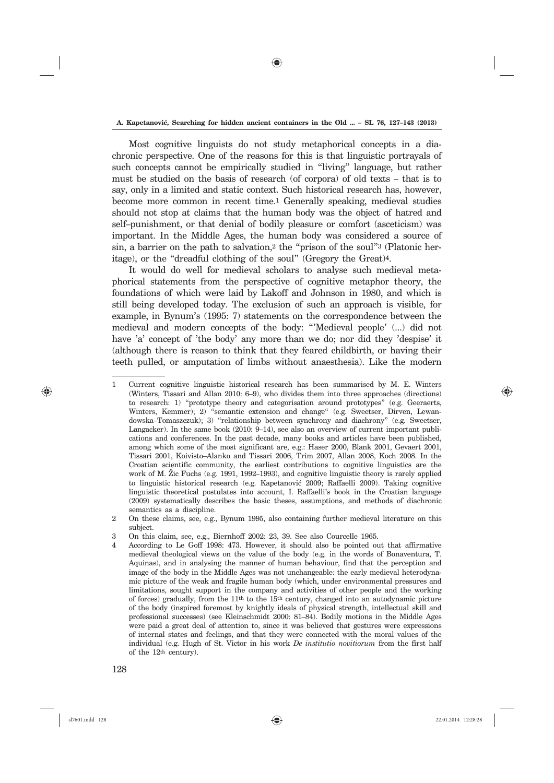⊕

Most cognitive linguists do not study metaphorical concepts in a diachronic perspective. One of the reasons for this is that linguistic portrayals of such concepts cannot be empirically studied in "living" language, but rather must be studied on the basis of research (of corpora) of old texts – that is to say, only in a limited and static context. Such historical research has, however, become more common in recent time.1 Generally speaking, medieval studies should not stop at claims that the human body was the object of hatred and self–punishment, or that denial of bodily pleasure or comfort (asceticism) was important. In the Middle Ages, the human body was considered a source of sin, a barrier on the path to salvation,<sup>2</sup> the "prison of the soul"<sup>3</sup> (Platonic heritage), or the "dreadful clothing of the soul" (Gregory the Great)4.

It would do well for medieval scholars to analyse such medieval metaphorical statements from the perspective of cognitive metaphor theory, the foundations of which were laid by Lakoff and Johnson in 1980, and which is still being developed today. The exclusion of such an approach is visible, for example, in Bynum's (1995: 7) statements on the correspondence between the medieval and modern concepts of the body: "'Medieval people' (...) did not have 'a' concept of 'the body' any more than we do; nor did they 'despise' it (although there is reason to think that they feared childbirth, or having their teeth pulled, or amputation of limbs without anaesthesia). Like the modern

⊕

<sup>1</sup> Current cognitive linguistic historical research has been summarised by M. E. Winters (Winters, Tissari and Allan 2010: 6–9), who divides them into three approaches (directions) to research: 1) "prototype theory and categorisation around prototypes" (e.g. Geeraerts, Winters, Kemmer); 2) "semantic extension and change" (e.g. Sweetser, Dirven, Lewandowska–Tomaszczuk); 3) "relationship between synchrony and diachrony" (e.g. Sweetser, Langacker). In the same book (2010: 9–14), see also an overview of current important publications and conferences. In the past decade, many books and articles have been published, among which some of the most significant are, e.g.: Haser 2000, Blank 2001, Gevaert 2001, Tissari 2001, Koivisto–Alanko and Tissari 2006, Trim 2007, Allan 2008, Koch 2008. In the Croatian scientific community, the earliest contributions to cognitive linguistics are the work of M. Zic Fuchs (e.g. 1991, 1992–1993), and cognitive linguistic theory is rarely applied to linguistic historical research (e.g. Kapetanović 2009; Raffaelli 2009). Taking cognitive linguistic theoretical postulates into account, I. Raffaelli's book in the Croatian language (2009) systematically describes the basic theses, assumptions, and methods of diachronic semantics as a discipline.

<sup>2</sup> On these claims, see, e.g., Bynum 1995, also containing further medieval literature on this subject.

<sup>3</sup> On this claim, see, e.g., Biernhoff 2002: 23, 39. See also Courcelle 1965.

<sup>4</sup> According to Le Goff 1998: 473. However, it should also be pointed out that affirmative medieval theological views on the value of the body (e.g. in the words of Bonaventura, T. Aquinas), and in analysing the manner of human behaviour, find that the perception and image of the body in the Middle Ages was not unchangeable: the early medieval heterodynamic picture of the weak and fragile human body (which, under environmental pressures and limitations, sought support in the company and activities of other people and the working of forces) gradually, from the 11th to the 15th century, changed into an autodynamic picture of the body (inspired foremost by knightly ideals of physical strength, intellectual skill and professional successes) (see Kleinschmidt 2000: 81–84). Bodily motions in the Middle Ages were paid a great deal of attention to, since it was believed that gestures were expressions of internal states and feelings, and that they were connected with the moral values of the individual (e.g. Hugh of St. Victor in his work *De institutio novitiorum* from the first half of the 12th century).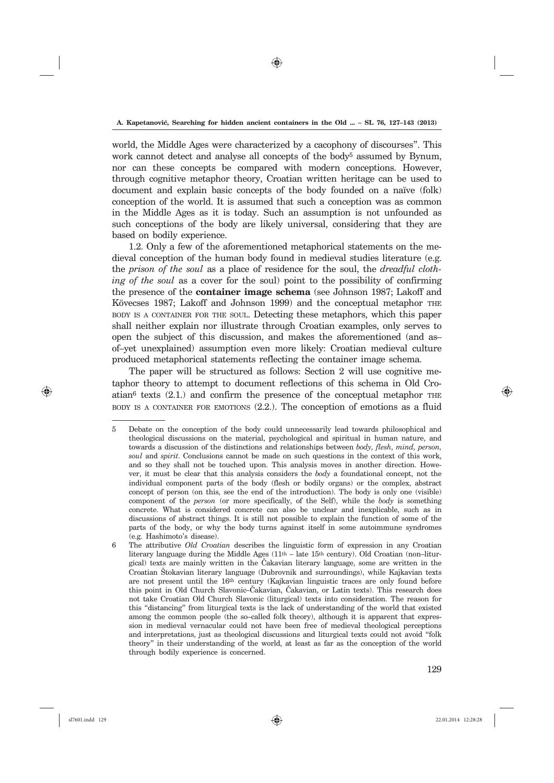⊕

world, the Middle Ages were characterized by a cacophony of discourses". This work cannot detect and analyse all concepts of the body<sup>5</sup> assumed by Bynum, nor can these concepts be compared with modern conceptions. However, through cognitive metaphor theory, Croatian written heritage can be used to document and explain basic concepts of the body founded on a naïve (folk) conception of the world. It is assumed that such a conception was as common in the Middle Ages as it is today. Such an assumption is not unfounded as such conceptions of the body are likely universal, considering that they are based on bodily experience.

1.2. Only a few of the aforementioned metaphorical statements on the medieval conception of the human body found in medieval studies literature (e.g. the *prison of the soul* as a place of residence for the soul, the *dreadful clothing of the soul* as a cover for the soul) point to the possibility of confirming the presence of the **container image schema** (see Johnson 1987; Lakoff and Kövecses 1987; Lakoff and Johnson 1999) and the conceptual metaphor THE BODY IS <sup>A</sup> CONTAINER FOR THE SOUL. Detecting these metaphors, which this paper shall neither explain nor illustrate through Croatian examples, only serves to open the subject of this discussion, and makes the aforementioned (and as– of–yet unexplained) assumption even more likely: Croatian medieval culture produced metaphorical statements reflecting the container image schema.

The paper will be structured as follows: Section 2 will use cognitive metaphor theory to attempt to document reflections of this schema in Old Croatian $6$  texts  $(2.1)$  and confirm the presence of the conceptual metaphor THE BODY IS <sup>A</sup> CONTAINER FOR EMOTIONS (2.2.). The conception of emotions as a fluid

⊕

<sup>5</sup> Debate on the conception of the body could unnecessarily lead towards philosophical and theological discussions on the material, psychological and spiritual in human nature, and towards a discussion of the distinctions and relationships between *body, flesh, mind, person, soul* and *spirit*. Conclusions cannot be made on such questions in the context of this work, and so they shall not be touched upon. This analysis moves in another direction. However, it must be clear that this analysis considers the *body* a foundational concept, not the individual component parts of the body (flesh or bodily organs) or the complex, abstract concept of person (on this, see the end of the introduction). The body is only one (visible) component of the *person* (or more specifically, of the Self), while the *body* is something concrete. What is considered concrete can also be unclear and inexplicable, such as in discussions of abstract things. It is still not possible to explain the function of some of the parts of the body, or why the body turns against itself in some autoimmune syndromes (e.g. Hashimoto's disease).

<sup>6</sup> The attributive *Old Croatian* describes the linguistic form of expression in any Croatian literary language during the Middle Ages (11th – late 15th century). Old Croatian (non–liturgical) texts are mainly written in the Čakavian literary language, some are written in the Croatian Štokavian literary language (Dubrovnik and surroundings), while Kajkavian texts are not present until the 16th century (Kajkavian linguistic traces are only found before this point in Old Church Slavonic–Čakavian, Čakavian, or Latin texts). This research does not take Croatian Old Church Slavonic (liturgical) texts into consideration. The reason for this "distancing" from liturgical texts is the lack of understanding of the world that existed among the common people (the so–called folk theory), although it is apparent that expression in medieval vernacular could not have been free of medieval theological perceptions and interpretations, just as theological discussions and liturgical texts could not avoid "folk theory" in their understanding of the world, at least as far as the conception of the world through bodily experience is concerned.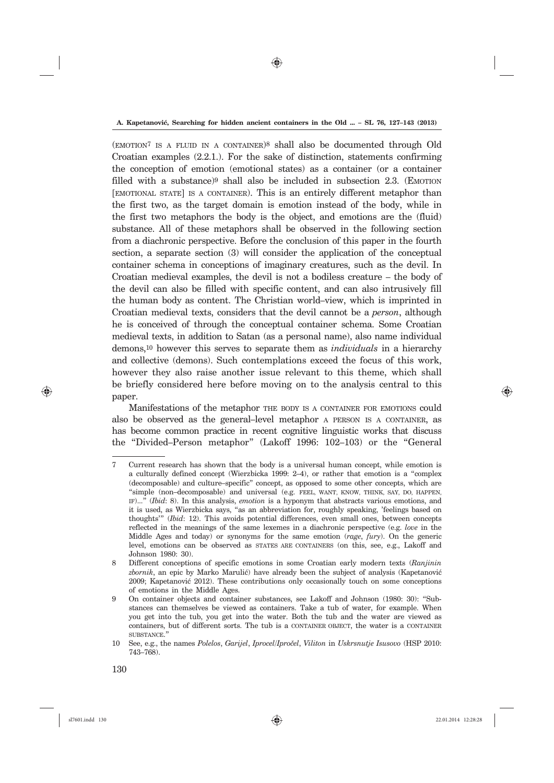(EMOTION7 IS <sup>A</sup> FLUID IN <sup>A</sup> CONTAINER)8 shall also be documented through Old Croatian examples (2.2.1.). For the sake of distinction, statements confirming the conception of emotion (emotional states) as a container (or a container filled with a substance) $9$  shall also be included in subsection 2.3. (EMOTION [EMOTIONAL STATE] IS <sup>A</sup> CONTAINER). This is an entirely different metaphor than the first two, as the target domain is emotion instead of the body, while in the first two metaphors the body is the object, and emotions are the (fluid) substance. All of these metaphors shall be observed in the following section from a diachronic perspective. Before the conclusion of this paper in the fourth section, a separate section (3) will consider the application of the conceptual container schema in conceptions of imaginary creatures, such as the devil. In Croatian medieval examples, the devil is not a bodiless creature – the body of the devil can also be filled with specific content, and can also intrusively fill the human body as content. The Christian world–view, which is imprinted in Croatian medieval texts, considers that the devil cannot be a *person*, although he is conceived of through the conceptual container schema. Some Croatian medieval texts, in addition to Satan (as a personal name), also name individual demons,10 however this serves to separate them as *individuals* in a hierarchy and collective (demons). Such contemplations exceed the focus of this work, however they also raise another issue relevant to this theme, which shall be briefly considered here before moving on to the analysis central to this paper.

Manifestations of the metaphor THE BODY IS <sup>A</sup> CONTAINER FOR EMOTIONS could also be observed as the general–level metaphor A PERSON IS <sup>A</sup> CONTAINER, as has become common practice in recent cognitive linguistic works that discuss the "Divided–Person metaphor" (Lakoff 1996: 102–103) or the "General

⊕

<sup>7</sup> Current research has shown that the body is a universal human concept, while emotion is a culturally defined concept (Wierzbicka 1999: 2–4), or rather that emotion is a "complex (decomposable) and culture–specific" concept, as opposed to some other concepts, which are "simple (non–decomposable) and universal (e.g. FEEL, WANT, KNOW, THINK, SAY, DO, HAPPEN, IF)..." (*Ibid*: 8). In this analysis, *emotion* is a hyponym that abstracts various emotions, and it is used, as Wierzbicka says, "as an abbreviation for, roughly speaking, 'feelings based on thoughts'" (*Ibid*: 12). This avoids potential differences, even small ones, between concepts reflected in the meanings of the same lexemes in a diachronic perspective (e.g. *love* in the Middle Ages and today) or synonyms for the same emotion (*rage*, *fury*). On the generic level, emotions can be observed as STATES ARE CONTAINERS (on this, see, e.g., Lakoff and Johnson 1980: 30).

<sup>8</sup> Different conceptions of specific emotions in some Croatian early modern texts (*Ranjinin zbornik*, an epic by Marko Marulić) have already been the subject of analysis (Kapetanović 2009; Kapetanović 2012). These contributions only occasionally touch on some conceptions of emotions in the Middle Ages.

<sup>9</sup> On container objects and container substances, see Lakoff and Johnson (1980: 30): "Substances can themselves be viewed as containers. Take a tub of water, for example. When you get into the tub, you get into the water. Both the tub and the water are viewed as containers, but of different sorts. The tub is a CONTAINER OBJECT, the water is a CONTAINER SUBSTANCE."

<sup>10</sup> See, e.g., the names *Polelos, Garijel, Iprocel/Ipročel, Viliton* in *Uskrsnutje Isusovo* (HSP 2010: 743–768).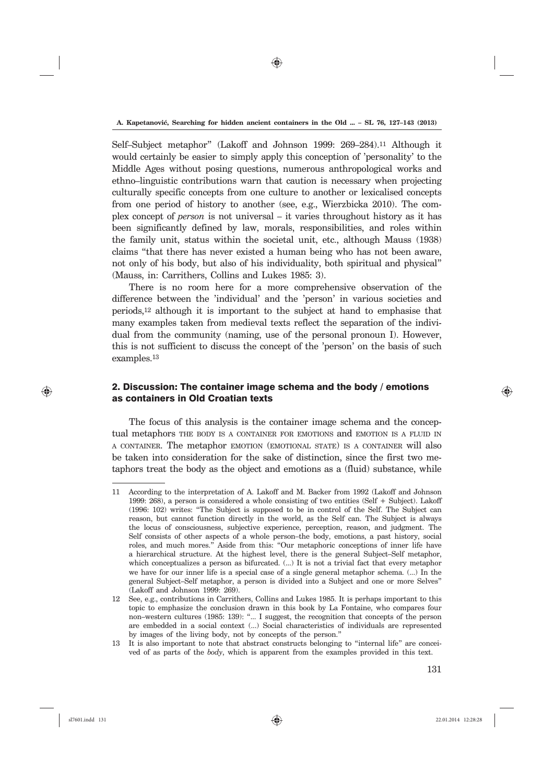⊕

Self–Subject metaphor" (Lakoff and Johnson 1999: 269–284).11 Although it would certainly be easier to simply apply this conception of 'personality' to the Middle Ages without posing questions, numerous anthropological works and ethno–linguistic contributions warn that caution is necessary when projecting culturally specific concepts from one culture to another or lexicalised concepts from one period of history to another (see, e.g., Wierzbicka 2010). The complex concept of *person* is not universal – it varies throughout history as it has been significantly defined by law, morals, responsibilities, and roles within the family unit, status within the societal unit, etc., although Mauss (1938) claims "that there has never existed a human being who has not been aware, not only of his body, but also of his individuality, both spiritual and physical" (Mauss, in: Carrithers, Collins and Lukes 1985: 3).

There is no room here for a more comprehensive observation of the difference between the 'individual' and the 'person' in various societies and periods,12 although it is important to the subject at hand to emphasise that many examples taken from medieval texts reflect the separation of the individual from the community (naming, use of the personal pronoun I). However, this is not sufficient to discuss the concept of the 'person' on the basis of such examples.13

# 2. Discussion: The container image schema and the body / emotions as containers in Old Croatian texts

The focus of this analysis is the container image schema and the conceptual metaphors THE BODY IS <sup>A</sup> CONTAINER FOR EMOTIONS and EMOTION IS <sup>A</sup> FLUID IN <sup>A</sup> CONTAINER. The metaphor EMOTION (EMOTIONAL STATE) IS <sup>A</sup> CONTAINER will also be taken into consideration for the sake of distinction, since the first two metaphors treat the body as the object and emotions as a (fluid) substance, while

⊕

<sup>11</sup> According to the interpretation of A. Lakoff and M. Backer from 1992 (Lakoff and Johnson 1999: 268), a person is considered a whole consisting of two entities (Self + Subject). Lakoff (1996: 102) writes: "The Subject is supposed to be in control of the Self. The Subject can reason, but cannot function directly in the world, as the Self can. The Subject is always the locus of consciousness, subjective experience, perception, reason, and judgment. The Self consists of other aspects of a whole person–the body, emotions, a past history, social roles, and much mores." Aside from this: "Our metaphoric conceptions of inner life have a hierarchical structure. At the highest level, there is the general Subject–Self metaphor, which conceptualizes a person as bifurcated. (...) It is not a trivial fact that every metaphor we have for our inner life is a special case of a single general metaphor schema. (...) In the general Subject–Self metaphor, a person is divided into a Subject and one or more Selves" (Lakoff and Johnson 1999: 269).

<sup>12</sup> See, e.g., contributions in Carrithers, Collins and Lukes 1985. It is perhaps important to this topic to emphasize the conclusion drawn in this book by La Fontaine, who compares four non–western cultures (1985: 139): "... I suggest, the recognition that concepts of the person are embedded in a social context (...) Social characteristics of individuals are represented by images of the living body, not by concepts of the person."

<sup>13</sup> It is also important to note that abstract constructs belonging to "internal life" are conceived of as parts of the *body*, which is apparent from the examples provided in this text.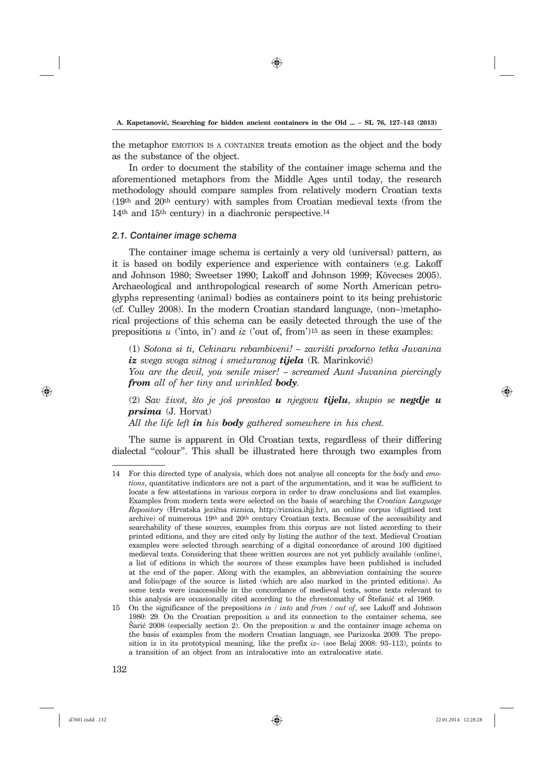the metaphor EMOTION IS <sup>A</sup> CONTAINER treats emotion as the object and the body as the substance of the object.

In order to document the stability of the container image schema and the aforementioned metaphors from the Middle Ages until today, the research methodology should compare samples from relatively modern Croatian texts (19th and 20th century) with samples from Croatian medieval texts (from the 14th and 15th century) in a diachronic perspective.14

### *2.1. Container image schema*

The container image schema is certainly a very old (universal) pattern, as it is based on bodily experience and experience with containers (e.g. Lakoff and Johnson 1980; Sweetser 1990; Lakoff and Johnson 1999; Kövecses 2005). Archaeological and anthropological research of some North American petroglyphs representing (animal) bodies as containers point to its being prehistoric (cf. Culley 2008). In the modern Croatian standard language, (non–)metaphorical projections of this schema can be easily detected through the use of the prepositions *u* ('into, in') and *iz* ('out of, from')15 as seen in these examples:

(1) *Sotona si ti, Cekinaru rebambiveni! – zavri{ti prodorno tetka Juvanina*   $iz$  *svega svoga sitnog i smežuranog tijela* (R. Marinković)

*You are the devil, you senile miser! – screamed Aunt Juvanina piercingly from all of her tiny and wrinkled body.*

(2) *Sav `ivot, {to je jo{ preostao u njegovu tijelu, skupio se negdje u prsima* (J. Horvat)

*All the life left in his body gathered somewhere in his chest.*

The same is apparent in Old Croatian texts, regardless of their differing dialectal "colour". This shall be illustrated here through two examples from

⊕

<sup>14</sup> For this directed type of analysis, which does not analyse all concepts for the *body* and *emotions*, quantitative indicators are not a part of the argumentation, and it was be sufficient to locate a few attestations in various corpora in order to draw conclusions and list examples. Examples from modern texts were selected on the basis of searching the *Croatian Language Repository* (Hrvatska jezična riznica, http://riznica.ihjj.hr), an online corpus (digitised text archive) of numerous 19th and 20th century Croatian texts. Because of the accessibility and searchability of these sources, examples from this corpus are not listed according to their printed editions, and they are cited only by listing the author of the text. Medieval Croatian examples were selected through searching of a digital concordance of around 100 digitised medieval texts. Considering that these written sources are not yet publicly available (online), a list of editions in which the sources of these examples have been published is included at the end of the paper. Along with the examples, an abbreviation containing the source and folio/page of the source is listed (which are also marked in the printed editions). As some texts were inaccessible in the concordance of medieval texts, some texts relevant to this analysis are occasionally cited according to the chrestomathy of Stefanić et al 1969.

<sup>15</sup> On the significance of the prepositions *in / into* and *from* / *out of*, see Lakoff and Johnson 1980: 29. On the Croatian preposition *u* and its connection to the container schema, see Šarić 2008 (especially section 2). On the preposition  $u$  and the container image schema on the basis of examples from the modern Croatian language, see Parizoska 2009. The preposition iz in its prototypical meaning, like the prefix *iz–* (see Belaj 2008: 93–113), points to a transition of an object from an intralocative into an extralocative state.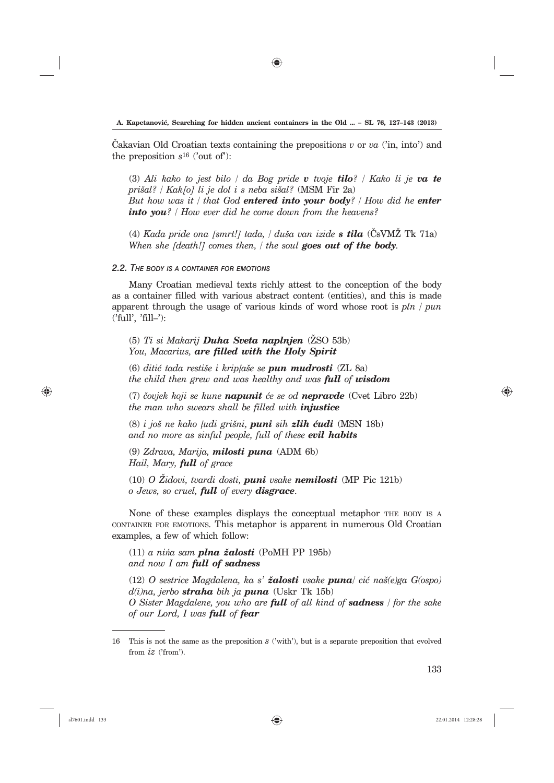⊕

Cakavian Old Croatian texts containing the prepositions  $v$  or  $va$  ('in, into') and the preposition *s*16 ('out of'):

(3) *Ali kako to jest bilo / da Bog pride v tvoje tilo? / Kako li je va te pri{al? / Kak[o] li je dol i s neba si{al?* (MSM Fir 2a) *But how was it / that God entered into your body? / How did he enter into you? / How ever did he come down from the heavens?*

(4) *Kada pride ona [smrt!] tada, / du{a van izide s tila* (^sVM@ Tk 71a) *When she [death!] comes then, / the soul goes out of the body.*

### *2.2. THE BODY IS <sup>A</sup> CONTAINER FOR EMOTIONS*

Many Croatian medieval texts richly attest to the conception of the body as a container filled with various abstract content (entities), and this is made apparent through the usage of various kinds of word whose root is *pln / pun*  ('full', 'fill–'):

(5) *Ti si Makarij Duha Sveta naplnjen* (@SO 53b) *You, Macarius, are filled with the Holy Spirit*

(6) *diti} tada resti{e i kripļa{e se pun mudrosti* (ZL 8a) *the child then grew and was healthy and was full of wisdom*

(7) *~ovjek koji se kune napunit }e se od nepravde* (Cvet Libro 22b) *the man who swears shall be filled with injustice*

(8) *i jo{ ne kako ļudi gri{ni, puni sih zlih }udi* (MSN 18b) *and no more as sinful people, full of these evil habits*

(9) *Zdrava, Marija, milosti puna* (ADM 6b) *Hail, Mary, full of grace*

(10) *O @idovi, tvardi dosti, puni vsake nemilosti* (MP Pic 121b) *o Jews, so cruel, full of every disgrace*.

None of these examples displays the conceptual metaphor THE BODY IS <sup>A</sup> CONTAINER FOR EMOTIONS. This metaphor is apparent in numerous Old Croatian examples, a few of which follow:

 $(11)$  *a nina sam plna žalosti* (PoMH PP 195b) *and now I am full of sadness*

(12) *O sestrice Magdalena, ka s' `alosti vsake puna*/ *ci} na{(e)ga G(ospo) d(i)na, jerbo straha bih ja puna* (Uskr Tk 15b) *O Sister Magdalene, you who are full of all kind of sadness / for the sake of our Lord, I was full of fear*

⊕

<sup>16</sup> This is not the same as the preposition *s* ('with'), but is a separate preposition that evolved from *iz* ('from').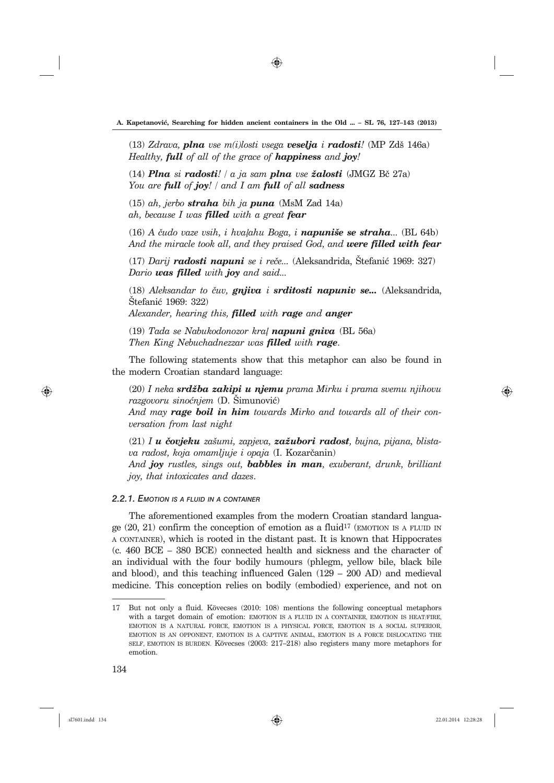$(13)$  *Zdrava*, *plna* vse m(*i*)*losti* vsega **veselja** i **radosti**! (MP Zdš 146a) *Healthy, full of all of the grace of happiness and joy!*

(14) *Plna si radosti! | a ja sam plna vse žalosti*  $(JMGZ B\check{c} 27a)$ *You are full of joy! / and I am full of all sadness*

(15) *ah, jerbo straha bih ja puna* (MsM Zad 14a) *ah, because I was filled with a great fear*

(16) *A ~udo vaze vsih, i hvaļahu Boga, i napuni{e se straha...* (BL 64b) *And the miracle took all, and they praised God, and were filled with fear*

 $(17)$  *Darii radosti napuni se i reče...* (Aleksandrida, Štefanić 1969: 327) *Dario was filled with joy and said...*

(18) *Aleksandar to ~uv, gnjiva i srditosti napuniv se...* (Aleksandrida, Stefanić 1969: 322) *Alexander, hearing this, filled with rage and anger*

(19) *Tada se Nabukodonozor kraļ napuni gniva* (BL 56a)

*Then King Nebuchadnezzar was filled with rage*.

The following statements show that this metaphor can also be found in the modern Croatian standard language:

(20) *I neka srd`ba zakipi u njemu prama Mirku i prama svemu njihovu razgovoru sinoćnjem* (D. Šimunović)

*And may rage boil in him towards Mirko and towards all of their conversation from last night*

(21) *I u ~ovjeku za{umi, zapjeva, za`ubori radost, bujna, pijana, blistava radost, koja omamljuje i opaja* (I. Kozarčanin)

*And joy rustles, sings out, babbles in man, exuberant, drunk, brilliant joy, that intoxicates and dazes*.

### *2.2.1. EMOTION IS A FLUID IN A CONTAINER*

The aforementioned examples from the modern Croatian standard language  $(20, 21)$  confirm the conception of emotion as a fluid<sup>17</sup> (EMOTION IS A FLUID IN <sup>A</sup> CONTAINER), which is rooted in the distant past. It is known that Hippocrates (c. 460 BCE – 380 BCE) connected health and sickness and the character of an individual with the four bodily humours (phlegm, yellow bile, black bile and blood), and this teaching influenced Galen (129 – 200 AD) and medieval medicine. This conception relies on bodily (embodied) experience, and not on

⊕

<sup>17</sup> But not only a fluid. Kövecses (2010: 108) mentions the following conceptual metaphors with a target domain of emotion: EMOTION IS A FLUID IN A CONTAINER, EMOTION IS HEAT/FIRE. EMOTION IS A NATURAL FORCE, EMOTION IS A PHYSICAL FORCE, EMOTION IS A SOCIAL SUPERIOR, EMOTION IS AN OPPONENT, EMOTION IS A CAPTIVE ANIMAL, EMOTION IS A FORCE DISLOCATING THE SELF, EMOTION IS BURDEN. Kövecses (2003: 217–218) also registers many more metaphors for emotion.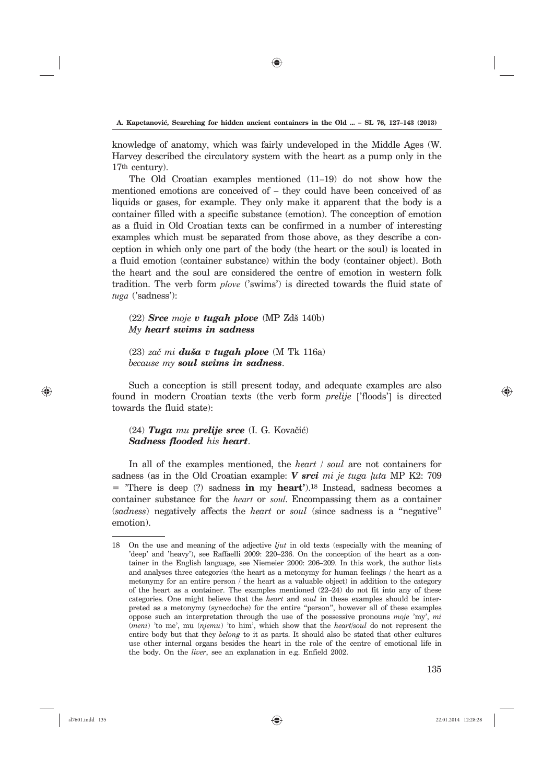⊕

knowledge of anatomy, which was fairly undeveloped in the Middle Ages (W. Harvey described the circulatory system with the heart as a pump only in the 17th century).

The Old Croatian examples mentioned (11–19) do not show how the mentioned emotions are conceived of – they could have been conceived of as liquids or gases, for example. They only make it apparent that the body is a container filled with a specific substance (emotion). The conception of emotion as a fluid in Old Croatian texts can be confirmed in a number of interesting examples which must be separated from those above, as they describe a conception in which only one part of the body (the heart or the soul) is located in a fluid emotion (container substance) within the body (container object). Both the heart and the soul are considered the centre of emotion in western folk tradition. The verb form *plove* ('swims') is directed towards the fluid state of *tuga* ('sadness'):

(22) *Srce moje v tugah plove* (MP Zd{ 140b) *My heart swims in sadness*

(23) *za~ mi du{a v tugah plove* (M Tk 116a) *because my soul swims in sadness*.

Such a conception is still present today, and adequate examples are also found in modern Croatian texts (the verb form *prelije* ['floods'] is directed towards the fluid state):

(24) *Tuga mu prelije srce* (I. G. Kovačić) *Sadness flooded his heart*.

In all of the examples mentioned, the *heart | soul* are not containers for sadness (as in the Old Croatian example: *V srci mi je tuga ļuta* MP K2: 709 = 'There is deep (?) sadness **in** my **heart'**).18 Instead, sadness becomes a container substance for the *heart* or *soul*. Encompassing them as a container (*sadness*) negatively affects the *heart* or *soul* (since sadness is a "negative" emotion).

⊕

♠

<sup>18</sup> On the use and meaning of the adjective *ljut* in old texts (especially with the meaning of 'deep' and 'heavy'), see Raffaelli 2009: 220–236. On the conception of the heart as a container in the English language, see Niemeier 2000: 206–209. In this work, the author lists and analyses three categories (the heart as a metonymy for human feelings / the heart as a metonymy for an entire person / the heart as a valuable object) in addition to the category of the heart as a container. The examples mentioned (22–24) do not fit into any of these categories. One might believe that the *heart* and *soul* in these examples should be interpreted as a metonymy (synecdoche) for the entire "person", however all of these examples oppose such an interpretation through the use of the possessive pronouns *moje* 'my', *mi* (*meni*) 'to me', mu (*njemu*) 'to him', which show that the *heart/soul* do not represent the entire body but that they *belong* to it as parts. It should also be stated that other cultures use other internal organs besides the heart in the role of the centre of emotional life in the body. On the *liver*, see an explanation in e.g. Enfield 2002.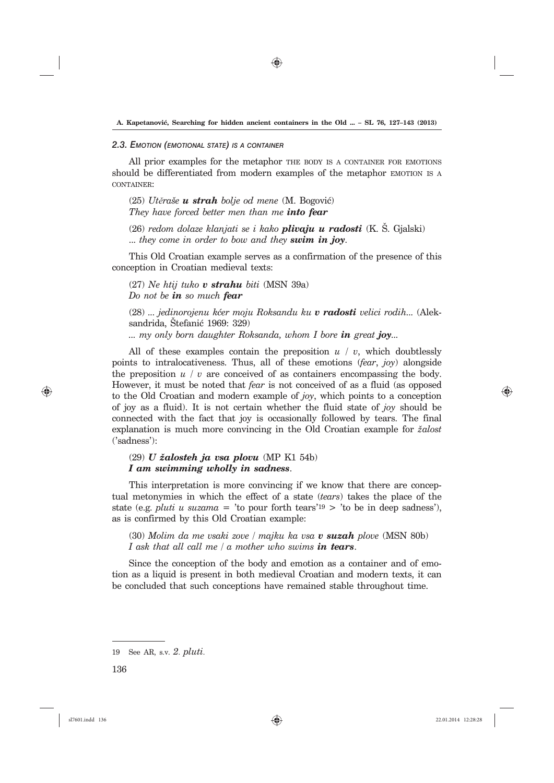⊕

#### *2.3. EMOTION (EMOTIONAL STATE) IS <sup>A</sup> CONTAINER*

All prior examples for the metaphor THE BODY IS A CONTAINER FOR EMOTIONS should be differentiated from modern examples of the metaphor EMOTION IS A CONTAINER:

(25) *Utěra{e u strah bolje od mene* (M. Bogovi}) *They have forced better men than me into fear*

(26) *redom dolaze klanjati se i kako plivaju u radosti* (K. [. Gjalski) ... *they come in order to bow and they swim in joy*.

This Old Croatian example serves as a confirmation of the presence of this conception in Croatian medieval texts:

(27) *Ne htij tuko v strahu biti* (MSN 39a) *Do not be in so much fear*

(28) *... jedinorojenu k}er moju Roksandu ku v radosti velici rodih...* (Aleksandrida, Stefanić 1969: 329)

*... my only born daughter Roksanda, whom I bore in great joy...*

All of these examples contain the preposition *u* / *v*, which doubtlessly points to intralocativeness. Thus, all of these emotions (*fear*, *joy*) alongside the preposition  $u / v$  are conceived of as containers encompassing the body. However, it must be noted that *fear* is not conceived of as a fluid (as opposed to the Old Croatian and modern example of *joy*, which points to a conception of joy as a fluid). It is not certain whether the fluid state of *joy* should be connected with the fact that joy is occasionally followed by tears. The final explanation is much more convincing in the Old Croatian example for *`alost* ('sadness'):

# (29) *U `alosteh ja vsa plovu* (MP K1 54b) *I am swimming wholly in sadness*.

This interpretation is more convincing if we know that there are conceptual metonymies in which the effect of a state (*tears*) takes the place of the state (e.g. *pluti u suzama* = 'to pour forth tears'<sup>19</sup> > 'to be in deep sadness'), as is confirmed by this Old Croatian example:

(30) *Molim da me vsaki zove / majku ka vsa v suzah plove* (MSN 80b) *I ask that all call me / a mother who swims in tears*.

Since the conception of the body and emotion as a container and of emotion as a liquid is present in both medieval Croatian and modern texts, it can be concluded that such conceptions have remained stable throughout time.

136

⊕

<sup>19</sup> See AR, s.v. *2*. *pluti*.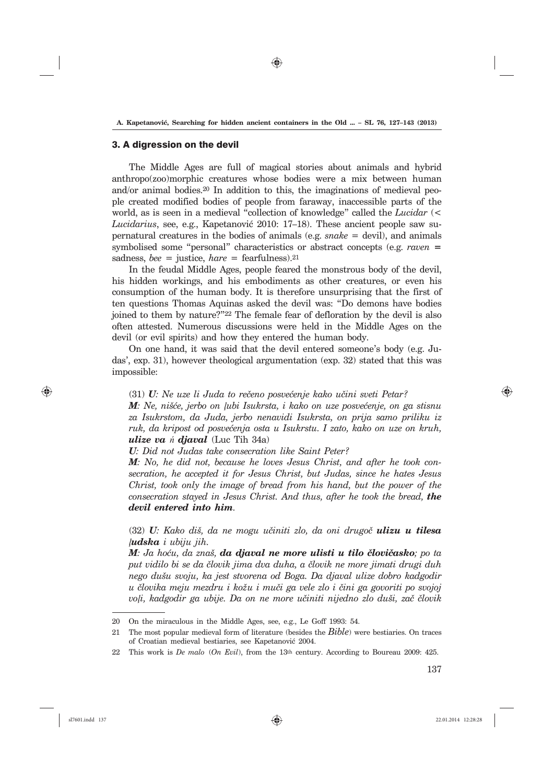⊕

#### 3. A digression on the devil

The Middle Ages are full of magical stories about animals and hybrid anthropo(zoo)morphic creatures whose bodies were a mix between human and/or animal bodies.20 In addition to this, the imaginations of medieval people created modified bodies of people from faraway, inaccessible parts of the world, as is seen in a medieval "collection of knowledge" called the *Lucidar* (< *Lucidarius*, see, e.g., Kapetanovi} 2010: 17–18). These ancient people saw supernatural creatures in the bodies of animals (e.g. *snake* = devil), and animals symbolised some "personal" characteristics or abstract concepts (e.g. *raven* **=**  sadness,  $bee =$  justice,  $hare =$  fearfulness).<sup>21</sup>

In the feudal Middle Ages, people feared the monstrous body of the devil, his hidden workings, and his embodiments as other creatures, or even his consumption of the human body. It is therefore unsurprising that the first of ten questions Thomas Aquinas asked the devil was: "Do demons have bodies joined to them by nature?"22 The female fear of defloration by the devil is also often attested. Numerous discussions were held in the Middle Ages on the devil (or evil spirits) and how they entered the human body.

On one hand, it was said that the devil entered someone's body (e.g. Judas', exp. 31), however theological argumentation (exp. 32) stated that this was impossible:

## (31) **U***: Ne uze li Juda to rečeno posvećenje kako učini sveti Petar?*

*M: Ne, nišće, jerbo on lubi Isukrsta, i kako on uze posvećenje, on ga stisnu za Isukrstom, da Juda, jerbo nenavidi Isukrsta, on prija samo priliku iz ruk, da kripost od posvećenja osta u Isukrstu. I zato, kako on uze on kruh, ulize va ń djaval* (Luc Tih 34a)

*U: Did not Judas take consecration like Saint Peter?*

*M: No, he did not, because he loves Jesus Christ, and after he took consecration, he accepted it for Jesus Christ, but Judas, since he hates Jesus Christ, took only the image of bread from his hand, but the power of the consecration stayed in Jesus Christ. And thus, after he took the bread, the devil entered into him.*

(32) *U: Kako di{, da ne mogu u~initi zlo, da oni drugo~ ulizu u tilesa ļudska i ubiju jih.*

*M: Ja hoću, da znaš, da djaval ne more ulisti u tilo človičasko; po ta put vidilo bi se da ~lovik jima dva duha, a ~lovik ne more jimati drugi duh nego du{u svoju, ka jest stvorena od Boga. Da djaval ulize dobro kadgodir u ~lovika meju mezdru i ko`u i mu~i ga vele zlo i ~ini ga govoriti po svojoj*   $voli$ , kadgodir ga ubije. Da on ne more učiniti nijedno zlo duši, zač človik

137

⊕

<sup>20</sup> On the miraculous in the Middle Ages, see, e.g., Le Goff 1993: 54.

<sup>21</sup> The most popular medieval form of literature (besides the *Bible*) were bestiaries. On traces of Croatian medieval bestiaries, see Kapetanović 2004.

<sup>22</sup> This work is *De malo* (*On Evil*), from the 13th century. According to Boureau 2009: 425.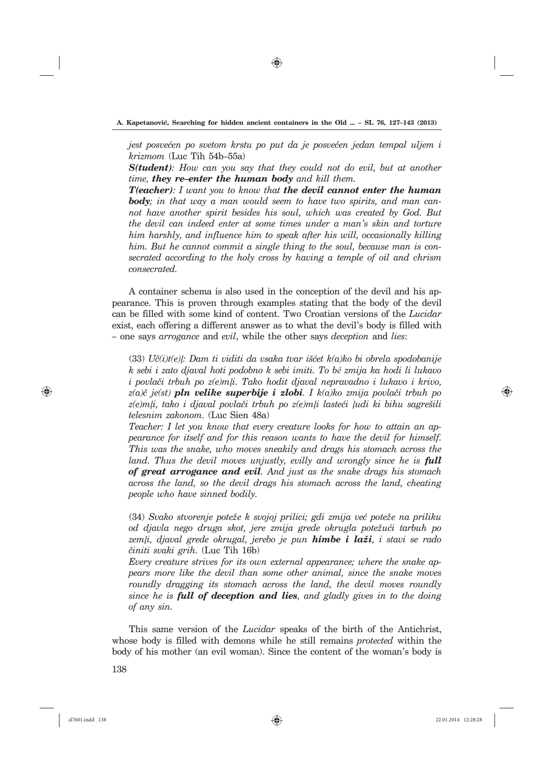⊕

*jest posve}en po svetom krstu po put da je posve}en jedan tempal uljem i krizmom* (Luc Tih 54b–55a)

*S(tudent): How can you say that they could not do evil, but at another time, they re–enter the human body and kill them.*

*T(eacher): I want you to know that the devil cannot enter the human body; in that way a man would seem to have two spirits, and man cannot have another spirit besides his soul, which was created by God. But the devil can indeed enter at some times under a man's skin and torture him harshly, and influence him to speak after his will, occasionally killing him. But he cannot commit a single thing to the soul, because man is consecrated according to the holy cross by having a temple of oil and chrism consecrated.*

A container schema is also used in the conception of the devil and his appearance. This is proven through examples stating that the body of the devil can be filled with some kind of content. Two Croatian versions of the *Lucidar* exist, each offering a different answer as to what the devil's body is filled with – one says *arrogance* and *evil*, while the other says *deception* and *lies*:

 $(33) U\check{c}(i)t(e)$ *}: Dam ti viditi da vsaka tvar išćet k(a)ko bi obrela spodobanije k sebi i zato djaval hoti podobno k sebi imiti. To bě zmija ka hodi li lukavo i povla~i trbuh po z(e)mļi. Tako hodit djaval nepravadno i lukavo i krivo,*   $z(a)\check{c}$  *je(st)* **pln velike superbije i zlobi**. I k(a)ko zmija povlači trbuh po  $z(e)$ m<sub>l</sub>i, tako i djaval povlači trbuh po z $(e)$ m<sub>l</sub>i lasteći ludi ki bihu sagrešili *telesnim zakonom.* (Luc Sien 48a)

*Teacher: I let you know that every creature looks for how to attain an appearance for itself and for this reason wants to have the devil for himself. This was the snake, who moves sneakily and drags his stomach across the land. Thus the devil moves unjustly, evilly and wrongly since he is full of great arrogance and evil. And just as the snake drags his stomach across the land, so the devil drags his stomach across the land, cheating people who have sinned bodily.*

(34) *Svako stvorenje pote`e k svojoj prilici; gdi zmija ve} pote`e na priliku od djavla nego druga skot, jere zmija grede okrugla pote`u}i tarbuh po zemļi, djaval grede okrugal, jerebo je pun himbe i la`i, i stavi se rado ~initi svaki grih.* (Luc Tih 16b)

*Every creature strives for its own external appearance; where the snake appears more like the devil than some other animal, since the snake moves roundly dragging its stomach across the land, the devil moves roundly since he is full of deception and lies, and gladly gives in to the doing of any sin.*

138 This same version of the *Lucidar* speaks of the birth of the Antichrist, whose body is filled with demons while he still remains *protected* within the body of his mother (an evil woman). Since the content of the woman's body is

⊕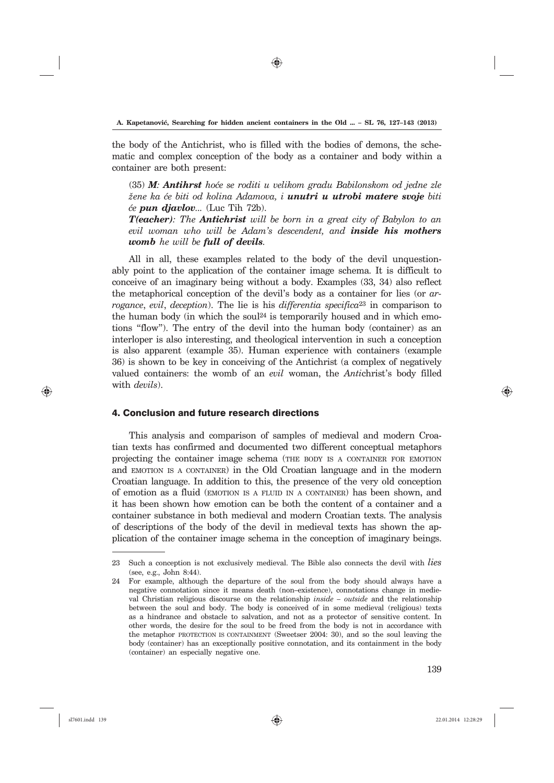⊕

the body of the Antichrist, who is filled with the bodies of demons, the schematic and complex conception of the body as a container and body within a container are both present:

(35) *M*: *Antihrst* hoće se roditi u velikom gradu Babilonskom od jedne zle *`ene ka }e biti od kolina Adamova, i unutri u utrobi matere svoje biti }e pun djavlov...* (Luc Tih 72b).

*T(eacher): The Antichrist will be born in a great city of Babylon to an evil woman who will be Adam's descendent, and inside his mothers womb he will be full of devils.*

All in all, these examples related to the body of the devil unquestionably point to the application of the container image schema. It is difficult to conceive of an imaginary being without a body. Examples (33, 34) also reflect the metaphorical conception of the devil's body as a container for lies (or *arrogance*, *evil*, *deception*). The lie is his *differentia specifica*23 in comparison to the human body (in which the soul<sup>24</sup> is temporarily housed and in which emotions "flow"). The entry of the devil into the human body (container) as an interloper is also interesting, and theological intervention in such a conception is also apparent (example 35). Human experience with containers (example 36) is shown to be key in conceiving of the Antichrist (a complex of negatively valued containers: the womb of an *evil* woman, the *Anti*christ's body filled with *devils*).

### 4. Conclusion and future research directions

This analysis and comparison of samples of medieval and modern Croatian texts has confirmed and documented two different conceptual metaphors projecting the container image schema (THE BODY IS <sup>A</sup> CONTAINER FOR EMOTION and EMOTION IS <sup>A</sup> CONTAINER) in the Old Croatian language and in the modern Croatian language. In addition to this, the presence of the very old conception of emotion as a fluid (EMOTION IS <sup>A</sup> FLUID IN <sup>A</sup> CONTAINER) has been shown, and it has been shown how emotion can be both the content of a container and a container substance in both medieval and modern Croatian texts. The analysis of descriptions of the body of the devil in medieval texts has shown the application of the container image schema in the conception of imaginary beings.

⊕

<sup>23</sup> Such a conception is not exclusively medieval. The Bible also connects the devil with *lies* (see, e.g., John 8:44).

<sup>24</sup> For example, although the departure of the soul from the body should always have a negative connotation since it means death (non–existence), connotations change in medieval Christian religious discourse on the relationship *inside – outside* and the relationship between the soul and body. The body is conceived of in some medieval (religious) texts as a hindrance and obstacle to salvation, and not as a protector of sensitive content. In other words, the desire for the soul to be freed from the body is not in accordance with the metaphor PROTECTION IS CONTAINMENT (Sweetser 2004: 30), and so the soul leaving the body (container) has an exceptionally positive connotation, and its containment in the body (container) an especially negative one.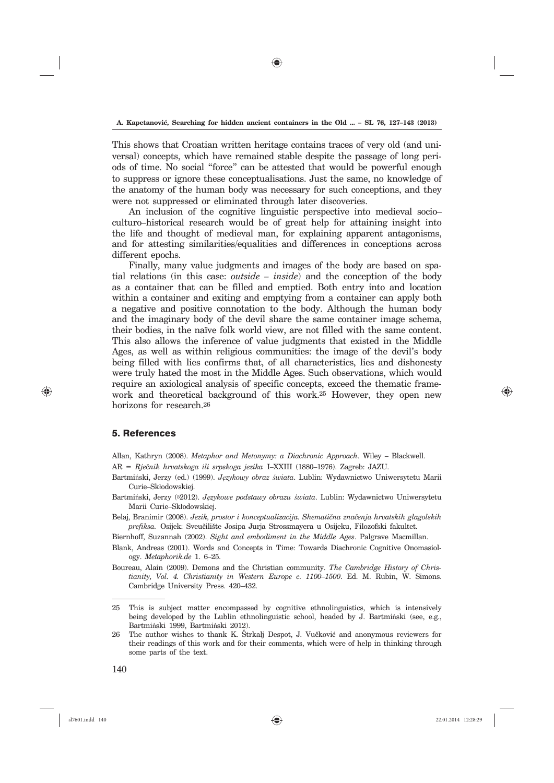⊕

This shows that Croatian written heritage contains traces of very old (and universal) concepts, which have remained stable despite the passage of long periods of time. No social "force" can be attested that would be powerful enough to suppress or ignore these conceptualisations. Just the same, no knowledge of the anatomy of the human body was necessary for such conceptions, and they were not suppressed or eliminated through later discoveries.

An inclusion of the cognitive linguistic perspective into medieval socio– culturo–historical research would be of great help for attaining insight into the life and thought of medieval man, for explaining apparent antagonisms, and for attesting similarities/equalities and differences in conceptions across different epochs.

Finally, many value judgments and images of the body are based on spatial relations (in this case: *outside – inside*) and the conception of the body as a container that can be filled and emptied. Both entry into and location within a container and exiting and emptying from a container can apply both a negative and positive connotation to the body. Although the human body and the imaginary body of the devil share the same container image schema, their bodies, in the naïve folk world view, are not filled with the same content. This also allows the inference of value judgments that existed in the Middle Ages, as well as within religious communities: the image of the devil's body being filled with lies confirms that, of all characteristics, lies and dishonesty were truly hated the most in the Middle Ages. Such observations, which would require an axiological analysis of specific concepts, exceed the thematic framework and theoretical background of this work.25 However, they open new horizons for research.26

## 5. References

⊕

Allan, Kathryn (2008). *Metaphor and Metonymy: a Diachronic Approach*. Wiley – Blackwell. AR = Rječnik hrvatskoga ili srpskoga jezika I–XXIII (1880–1976). Zagreb: JAZU.

- Bartmiński, Jerzy (ed.) (1999). *Językowy obraz świata*. Lublin: Wydawnictwo Uniwersytetu Marii Curie–Skłodowskiej.
- Bartmiński, Jerzy (52012). *Językowe podstawy obrazu świata*. Lublin: Wydawnictwo Uniwersytetu Marii Curie–Skłodowskiej.
- Belaj, Branimir (2008). *Jezik, prostor i konceptualizacija. Shematična značenja hrvatskih glagolskih* prefiksa. Osijek: Sveučilište Josipa Jurja Strossmayera u Osijeku, Filozofski fakultet.

Biernhoff, Suzannah (2002). *Sight and embodiment in the Middle Ages*. Palgrave Macmillan.

Blank, Andreas (2001). Words and Concepts in Time: Towards Diachronic Cognitive Onomasiology. *Metaphorik.de* 1. 6–25.

Boureau, Alain (2009). Demons and the Christian community. *The Cambridge History of Christianity, Vol. 4. Christianity in Western Europe c. 1100–1500*. Ed. M. Rubin, W. Simons. Cambridge University Press. 420–432.

26 The author wishes to thank K. Štrkalj Despot, J. Vučković and anonymous reviewers for their readings of this work and for their comments, which were of help in thinking through some parts of the text.

<sup>25</sup> This is subject matter encompassed by cognitive ethnolinguistics, which is intensively being developed by the Lublin ethnolinguistic school, headed by J. Bartminski (see, e.g., Bartmiński 1999, Bartmiński 2012).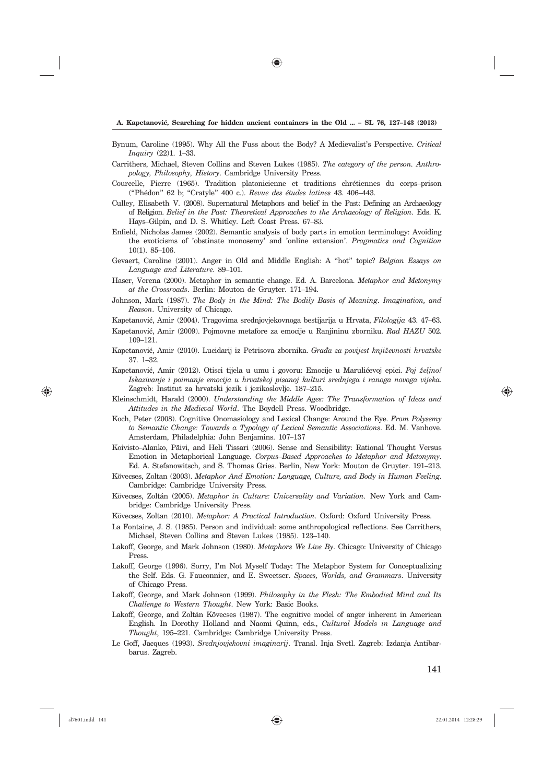- Bynum, Caroline (1995). Why All the Fuss about the Body? A Medievalist's Perspective. *Critical Inquiry* (22)1. 1–33.
- Carrithers, Michael, Steven Collins and Steven Lukes (1985). *The category of the person. Anthropology, Philosophy, History*. Cambridge University Press.
- Courcelle, Pierre (1965). Tradition platonicienne et traditions chrétiennes du corps–prison ("Phédon" 62 b; "Cratyle" 400 c.). *Revue des études latines* 43. 406–443.
- Culley, Elisabeth V. (2008). Supernatural Metaphors and belief in the Past: Defining an Archaeology of Religion. *Belief in the Past: Theoretical Approaches to the Archaeology of Religion*. Eds. K. Hays–Gilpin, and D. S. Whitley. Left Coast Press. 67–83.
- Enfield, Nicholas James (2002). Semantic analysis of body parts in emotion terminology: Avoiding the exoticisms of 'obstinate monosemy' and 'online extension'. *Pragmatics and Cognition* 10(1). 85–106.
- Gevaert, Caroline (2001). Anger in Old and Middle English: A "hot" topic? *Belgian Essays on Language and Literature*. 89–101.
- Haser, Verena (2000). Metaphor in semantic change. Ed. A. Barcelona. *Metaphor and Metonymy at the Crossroads*. Berlin: Mouton de Gruyter. 171–194.
- Johnson, Mark (1987). *The Body in the Mind: The Bodily Basis of Meaning*. *Imagination, and Reason*. University of Chicago.
- Kapetanovi}, Amir (2004). Tragovima srednjovjekovnoga bestijarija u Hrvata, *Filologija* 43. 47–63. Kapetanovi}, Amir (2009). Pojmovne metafore za emocije u Ranjininu zborniku. *Rad HAZU* 502. 109–121.
- Kapetanović, Amir (2010). Lucidarij iz Petrisova zbornika. *Građa za povijest književnosti hrvatske* 37. 1–32.
- Kapetanović, Amir (2012). Otisci tijela u umu i govoru: Emocije u Marulićevoj epici. Poj željno! *Iskazivanje i poimanje emocija u hrvatskoj pisanoj kulturi srednjega i ranoga novoga vijeka*. Zagreb: Institut za hrvatski jezik i jezikoslovlje. 187–215.
- Kleinschmidt, Harald (2000). *Understanding the Middle Ages: The Transformation of Ideas and Attitudes in the Medieval World*. The Boydell Press. Woodbridge.
- Koch, Peter (2008). Cognitive Onomasiology and Lexical Change: Around the Eye. *From Polysemy to Semantic Change: Towards a Typology of Lexical Semantic Associations*. Ed. M. Vanhove. Amsterdam, Philadelphia: John Benjamins. 107–137
- Koivisto–Alanko, Päivi, and Heli Tissari (2006). Sense and Sensibility: Rational Thought Versus Emotion in Metaphorical Language. *Corpus–Based Approaches to Metaphor and Metonymy*. Ed. A. Stefanowitsch, and S. Thomas Gries. Berlin, New York: Mouton de Gruyter. 191–213.
- Kövecses, Zoltan (2003). *Metaphor And Emotion: Language, Culture, and Body in Human Feeling*. Cambridge: Cambridge University Press.
- Kövecses, Zoltán (2005). *Metaphor in Culture: Universality and Variation.* New York and Cambridge: Cambridge University Press.
- Kövecses, Zoltan (2010). *Metaphor: A Practical Introduction*. Oxford: Oxford University Press.
- La Fontaine, J. S. (1985). Person and individual: some anthropological reflections. See Carrithers, Michael, Steven Collins and Steven Lukes (1985). 123–140.
- Lakoff, George, and Mark Johnson (1980). *Metaphors We Live By*. Chicago: University of Chicago Press.
- Lakoff, George (1996). Sorry, I'm Not Myself Today: The Metaphor System for Conceptualizing the Self. Eds. G. Fauconnier, and E. Sweetser. *Spaces, Worlds, and Grammars*. University of Chicago Press.
- Lakoff, George, and Mark Johnson (1999). *Philosophy in the Flesh: The Embodied Mind and Its Challenge to Western Thought*. New York: Basic Books.
- Lakoff, George, and Zoltán Kövecses (1987). The cognitive model of anger inherent in American English. In Dorothy Holland and Naomi Quinn, eds., *Cultural Models in Language and Thought*, 195–221. Cambridge: Cambridge University Press.
- Le Goff, Jacques (1993). *Srednjovjekovni imaginarij*. Transl. Inja Svetl. Zagreb: Izdanja Antibarbarus. Zagreb.

⊕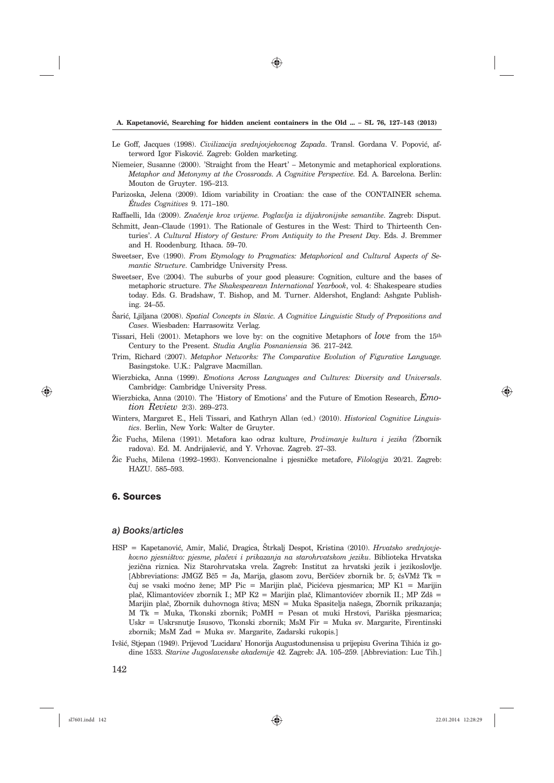- Le Goff, Jacques (1998). *Civilizacija srednjovjekovnog Zapada*. Transl. Gordana V. Popović, afterword Igor Fisković. Zagreb: Golden marketing.
- Niemeier, Susanne (2000). 'Straight from the Heart' Metonymic and metaphorical explorations. *Metaphor and Metonymy at the Crossroads. A Cognitive Perspective. Ed. A. Barcelona. Berlin:* Mouton de Gruyter. 195–213.
- Parizoska, Jelena (2009). Idiom variability in Croatian: the case of the CONTAINER schema. *Études Cognitives* 9. 171–180.
- Raffaelli, Ida (2009). Značenje kroz vrijeme. Poglavlja iz dijakronijske semantike. Zagreb: Disput.
- Schmitt, Jean–Claude (1991). The Rationale of Gestures in the West: Third to Thirteenth Centuries'. *A Cultural History of Gesture: From Antiquity to the Present Day*. Eds. J. Bremmer and H. Roodenburg. Ithaca. 59–70.
- Sweetser, Eve (1990). *From Etymology to Pragmatics: Metaphorical and Cultural Aspects of Semantic Structure*. Cambridge University Press.
- Sweetser, Eve (2004). The suburbs of your good pleasure: Cognition, culture and the bases of metaphoric structure. *The Shakespearean International Yearbook*, vol. 4: Shakespeare studies today. Eds. G. Bradshaw, T. Bishop, and M. Turner. Aldershot, England: Ashgate Publishing. 24–55.
- [ari}, Ljiljana (2008). *Spatial Concepts in Slavic. A Cognitive Linguistic Study of Prepositions and Cases*. Wiesbaden: Harrasowitz Verlag.
- Tissari, Heli (2001). Metaphors we love by: on the cognitive Metaphors of *love* from the 15th Century to the Present. *Studia Anglia Posnaniensia* 36. 217–242.
- Trim, Richard (2007). *Metaphor Networks: The Comparative Evolution of Figurative Language.* Basingstoke. U.K.: Palgrave Macmillan.
- Wierzbicka, Anna (1999). *Emotions Across Languages and Cultures: Diversity and Universals*. Cambridge: Cambridge University Press.
- Wierzbicka, Anna (2010). The 'History of Emotions' and the Future of Emotion Research, *Emotion Review* 2(3). 269–273.
- Winters, Margaret E., Heli Tissari, and Kathryn Allan (ed.) (2010). *Historical Cognitive Linguistics*. Berlin, New York: Walter de Gruyter.
- @ic Fuchs, Milena (1991). Metafora kao odraz kulture, *Pro`imanje kultura i jezika (*Zbornik radova). Ed. M. Andrijašević, and Y. Vrhovac. Zagreb. 27-33.
- @ic Fuchs, Milena (1992–1993). Konvencionalne i pjesni~ke metafore, *Filologija* 20/21. Zagreb: HAZU. 585–593.

# 6. Sources

#### *a) Books/articles*

- HSP = Kapetanović, Amir, Malić, Dragica, Štrkalj Despot, Kristina (2010). *Hrvatsko srednjovjekovno pjesni{tvo: pjesme, pla~evi i prikazanja na starohrvatskom jeziku*. Biblioteka Hrvatska jezična riznica. Niz Starohrvatska vrela. Zagreb: Institut za hrvatski jezik i jezikoslovlje. [Abbreviations: JMGZ Bč5 = Ja, Marija, glasom zovu, Berčićev zbornik br. 5; čsVMž Tk = čuj se vsaki moćno žene; MP Pic = Marijin plač, Picićeva pjesmarica; MP K1 = Marijin plač, Klimantovićev zbornik I.; MP K2 = Marijin plač, Klimantovićev zbornik II.; MP Zdš = Marijin plač, Zbornik duhovnoga štiva; MSN = Muka Spasitelja našega, Zbornik prikazanja;  $M$  Tk = Muka, Tkonski zbornik; PoMH = Pesan ot muki Hrstovi, Pariška pjesmarica; Uskr = Uskrsnutje Isusovo, Tkonski zbornik; MsM Fir = Muka sv. Margarite, Firentinski zbornik; MsM Zad = Muka sv. Margarite, Zadarski rukopis.]
- Ivšić, Stjepan (1949). Prijevod 'Lucidara' Honorija Augustodunensisa u prijepisu Gverina Tihića iz godine 1533. *Starine Jugoslavenske akademije* 42. Zagreb: JA. 105–259. [Abbreviation: Luc Tih.]

⊕